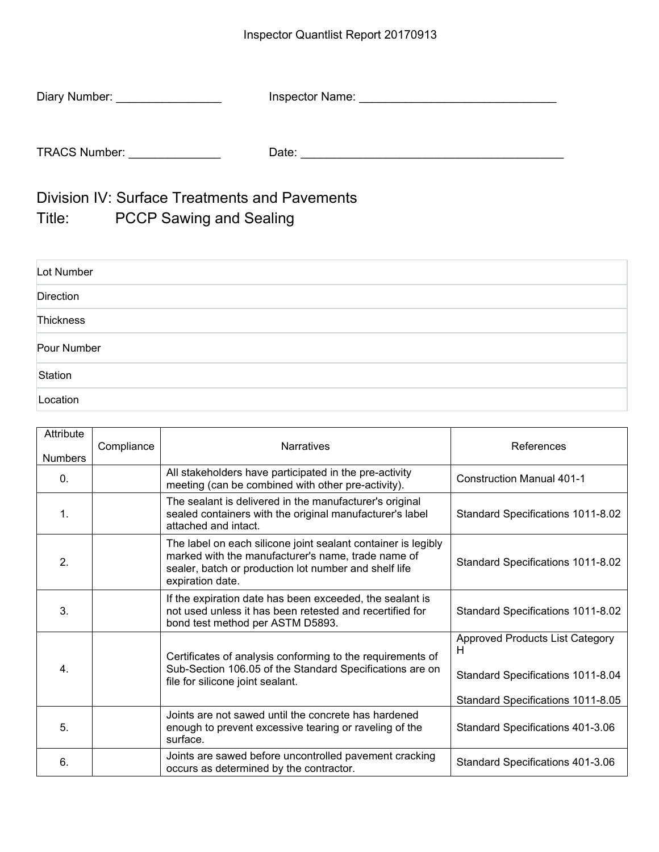| Diary Number:        | Inspector Name: |  |
|----------------------|-----------------|--|
|                      |                 |  |
| <b>TRACS Number:</b> | Date:           |  |

Division IV: Surface Treatments and Pavements Title: PCCP Sawing and Sealing

| Lot Number  |  |
|-------------|--|
| Direction   |  |
| Thickness   |  |
| Pour Number |  |
| Station     |  |
| Location    |  |

| Attribute<br><b>Numbers</b> | Compliance | <b>Narratives</b>                                                                                                                                                                                | References                                                                                                            |
|-----------------------------|------------|--------------------------------------------------------------------------------------------------------------------------------------------------------------------------------------------------|-----------------------------------------------------------------------------------------------------------------------|
| $\mathbf{0}$ .              |            | All stakeholders have participated in the pre-activity<br>meeting (can be combined with other pre-activity).                                                                                     | <b>Construction Manual 401-1</b>                                                                                      |
| $\mathbf 1$ .               |            | The sealant is delivered in the manufacturer's original<br>sealed containers with the original manufacturer's label<br>attached and intact.                                                      | Standard Specifications 1011-8.02                                                                                     |
| 2.                          |            | The label on each silicone joint sealant container is legibly<br>marked with the manufacturer's name, trade name of<br>sealer, batch or production lot number and shelf life<br>expiration date. | Standard Specifications 1011-8.02                                                                                     |
| 3.                          |            | If the expiration date has been exceeded, the sealant is<br>not used unless it has been retested and recertified for<br>bond test method per ASTM D5893.                                         | Standard Specifications 1011-8.02                                                                                     |
| $\overline{4}$ .            |            | Certificates of analysis conforming to the requirements of<br>Sub-Section 106.05 of the Standard Specifications are on<br>file for silicone joint sealant.                                       | <b>Approved Products List Category</b><br>H<br>Standard Specifications 1011-8.04<br>Standard Specifications 1011-8.05 |
| 5.                          |            | Joints are not sawed until the concrete has hardened<br>enough to prevent excessive tearing or raveling of the<br>surface.                                                                       | Standard Specifications 401-3.06                                                                                      |
| 6.                          |            | Joints are sawed before uncontrolled pavement cracking<br>occurs as determined by the contractor.                                                                                                | Standard Specifications 401-3.06                                                                                      |